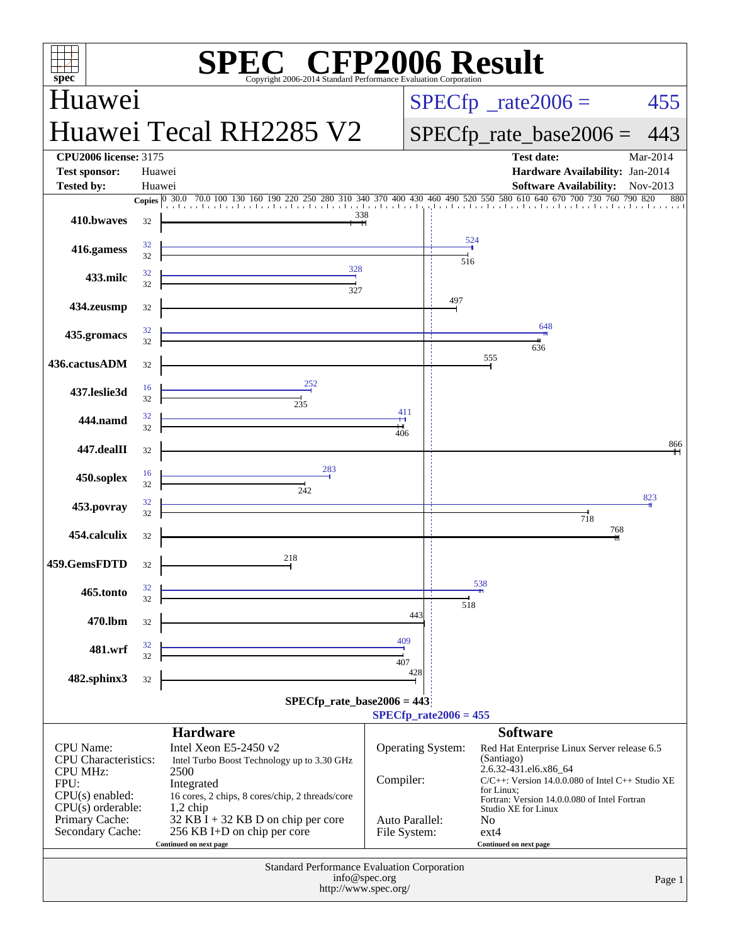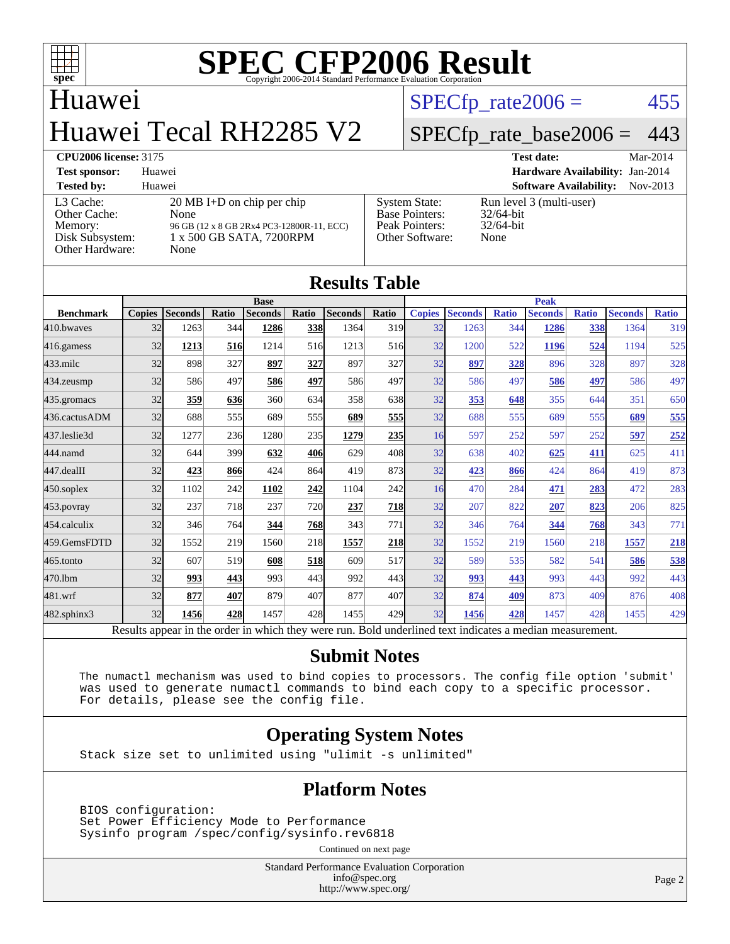

## Huawei Huawei Tecal RH2285 V2

 $SPECTp_rate2006 = 455$ 

#### [SPECfp\\_rate\\_base2006 =](http://www.spec.org/auto/cpu2006/Docs/result-fields.html#SPECfpratebase2006) 443

#### **[CPU2006 license:](http://www.spec.org/auto/cpu2006/Docs/result-fields.html#CPU2006license)** 3175 **[Test date:](http://www.spec.org/auto/cpu2006/Docs/result-fields.html#Testdate)** Mar-2014

| <b>Test sponsor:</b>                                                       | Huawei                                                                                                                        |                                                                                    | <b>Hardware Availability: Jan-2014</b>                           |          |
|----------------------------------------------------------------------------|-------------------------------------------------------------------------------------------------------------------------------|------------------------------------------------------------------------------------|------------------------------------------------------------------|----------|
| <b>Tested by:</b>                                                          | Huawei                                                                                                                        |                                                                                    | <b>Software Availability:</b>                                    | Nov-2013 |
| L3 Cache:<br>Other Cache:<br>Memory:<br>Disk Subsystem:<br>Other Hardware: | $20 \text{ MB I+D}$ on chip per chip<br>None<br>96 GB (12 x 8 GB 2Rx4 PC3-12800R-11, ECC)<br>1 x 500 GB SATA, 7200RPM<br>None | <b>System State:</b><br><b>Base Pointers:</b><br>Peak Pointers:<br>Other Software: | Run level 3 (multi-user)<br>$32/64$ -bit<br>$32/64$ -bit<br>None |          |

| <b>Results Table</b>                                                                                     |               |                |       |                |            |                |            |               |                |              |                |              |                |              |
|----------------------------------------------------------------------------------------------------------|---------------|----------------|-------|----------------|------------|----------------|------------|---------------|----------------|--------------|----------------|--------------|----------------|--------------|
|                                                                                                          | <b>Base</b>   |                |       |                |            | <b>Peak</b>    |            |               |                |              |                |              |                |              |
| <b>Benchmark</b>                                                                                         | <b>Copies</b> | <b>Seconds</b> | Ratio | <b>Seconds</b> | Ratio      | <b>Seconds</b> | Ratio      | <b>Copies</b> | <b>Seconds</b> | <b>Ratio</b> | <b>Seconds</b> | <b>Ratio</b> | <b>Seconds</b> | <b>Ratio</b> |
| 410.bwayes                                                                                               | 32            | 1263           | 344   | 1286           | 338        | 1364           | 319        | 32            | 1263           | 344          | 1286           | 338          | 1364           | 319          |
| 416.gamess                                                                                               | 32            | 1213           | 516   | 1214           | 516        | 1213           | 516        | 32            | 1200           | 522          | 1196           | 524          | 1194           | 525          |
| $433$ .milc                                                                                              | 32            | 898            | 327   | 897            | 327        | 897            | 327        | 32            | 897            | 328          | 896            | 328          | 897            | 328          |
| 434.zeusmp                                                                                               | 32            | 586            | 497   | 586            | 497        | 586            | 497        | 32            | 586            | 497          | 586            | 497          | 586            | 497          |
| 435.gromacs                                                                                              | 32            | 359            | 636   | 360            | 634        | 358            | 638        | 32            | 353            | 648          | 355            | 644          | 351            | 650          |
| 436.cactusADM                                                                                            | 32            | 688            | 555   | 689            | 555l       | 689            | 555        | 32            | 688            | 555          | 689            | 555          | 689            | 555          |
| 437.leslie3d                                                                                             | 32            | 1277           | 236   | 1280           | 235        | 1279           | 235        | 16            | 597            | 252          | 597            | 252          | 597            | 252          |
| 444.namd                                                                                                 | 32            | 644            | 399   | 632            | 406        | 629            | 408        | 32            | 638            | 402          | 625            | 411          | 625            | 411          |
| 447.dealII                                                                                               | 32            | 423            | 866   | 424            | 864        | 419            | 873        | 32            | 423            | 866          | 424            | 864          | 419            | 873          |
| $450$ .soplex                                                                                            | 32            | 1102           | 242   | 1102           | 242        | 1104           | 242        | 16            | 470            | 284          | 471            | 283          | 472            | 283          |
| $453$ .povray                                                                                            | 32            | 237            | 718   | 237            | <b>720</b> | 237            | <b>718</b> | 32            | 207            | 822          | 207            | 823          | 206            | 825          |
| 454.calculix                                                                                             | 32            | 346            | 764   | 344            | 768        | 343            | 771        | 32            | 346            | 764          | 344            | 768          | 343            | 771          |
| 459.GemsFDTD                                                                                             | 32            | 1552           | 219   | 1560           | 218        | 1557           | 218        | 32            | 1552           | 219          | 1560           | 218          | 1557           | 218          |
| 465.tonto                                                                                                | 32            | 607            | 519   | 608            | 518        | 609            | 517        | 32            | 589            | 535          | 582            | 541          | 586            | 538          |
| 470.1bm                                                                                                  | 32            | 993            | 443   | 993            | 443        | 992            | 443        | 32            | 993            | 443          | 993            | 443          | 992            | 443          |
| 481.wrf                                                                                                  | 32            | 877            | 407   | 879            | 407        | 877            | 407        | 32            | 874            | 409          | 873            | 409          | 876            | 408          |
| $482$ .sphinx $3$                                                                                        | 32            | 1456           | 428   | 1457           | 428        | 1455           | 429        | 32            | 1456           | 428          | 1457           | 428          | 1455           | 429          |
| Results appear in the order in which they were run. Bold underlined text indicates a median measurement. |               |                |       |                |            |                |            |               |                |              |                |              |                |              |

#### **[Submit Notes](http://www.spec.org/auto/cpu2006/Docs/result-fields.html#SubmitNotes)**

 The numactl mechanism was used to bind copies to processors. The config file option 'submit' was used to generate numactl commands to bind each copy to a specific processor. For details, please see the config file.

#### **[Operating System Notes](http://www.spec.org/auto/cpu2006/Docs/result-fields.html#OperatingSystemNotes)**

Stack size set to unlimited using "ulimit -s unlimited"

#### **[Platform Notes](http://www.spec.org/auto/cpu2006/Docs/result-fields.html#PlatformNotes)**

 BIOS configuration: Set Power Efficiency Mode to Performance Sysinfo program /spec/config/sysinfo.rev6818

Continued on next page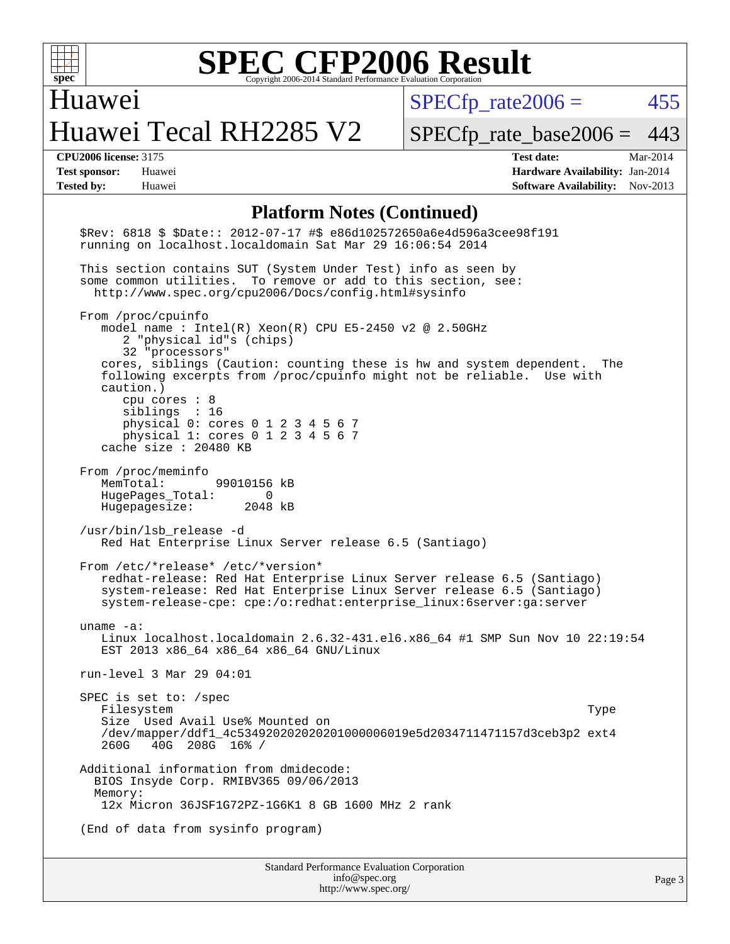

Huawei

## Huawei Tecal RH2285 V2

 $SPECTp\_rate2006 = 455$ 

[SPECfp\\_rate\\_base2006 =](http://www.spec.org/auto/cpu2006/Docs/result-fields.html#SPECfpratebase2006) 443

**[CPU2006 license:](http://www.spec.org/auto/cpu2006/Docs/result-fields.html#CPU2006license)** 3175 **[Test date:](http://www.spec.org/auto/cpu2006/Docs/result-fields.html#Testdate)** Mar-2014 **[Test sponsor:](http://www.spec.org/auto/cpu2006/Docs/result-fields.html#Testsponsor)** Huawei **[Hardware Availability:](http://www.spec.org/auto/cpu2006/Docs/result-fields.html#HardwareAvailability)** Jan-2014 **[Tested by:](http://www.spec.org/auto/cpu2006/Docs/result-fields.html#Testedby)** Huawei **[Software Availability:](http://www.spec.org/auto/cpu2006/Docs/result-fields.html#SoftwareAvailability)** Nov-2013

#### **[Platform Notes \(Continued\)](http://www.spec.org/auto/cpu2006/Docs/result-fields.html#PlatformNotes)**

Standard Performance Evaluation Corporation [info@spec.org](mailto:info@spec.org) \$Rev: 6818 \$ \$Date:: 2012-07-17 #\$ e86d102572650a6e4d596a3cee98f191 running on localhost.localdomain Sat Mar 29 16:06:54 2014 This section contains SUT (System Under Test) info as seen by some common utilities. To remove or add to this section, see: <http://www.spec.org/cpu2006/Docs/config.html#sysinfo> From /proc/cpuinfo model name : Intel(R) Xeon(R) CPU E5-2450 v2 @ 2.50GHz 2 "physical id"s (chips) 32 "processors" cores, siblings (Caution: counting these is hw and system dependent. The following excerpts from /proc/cpuinfo might not be reliable. Use with caution.) cpu cores : 8 siblings : 16 physical 0: cores 0 1 2 3 4 5 6 7 physical 1: cores 0 1 2 3 4 5 6 7 cache size : 20480 KB From /proc/meminfo MemTotal: 99010156 kB HugePages\_Total: 0 Hugepagesize: 2048 kB /usr/bin/lsb\_release -d Red Hat Enterprise Linux Server release 6.5 (Santiago) From /etc/\*release\* /etc/\*version\* redhat-release: Red Hat Enterprise Linux Server release 6.5 (Santiago) system-release: Red Hat Enterprise Linux Server release 6.5 (Santiago) system-release-cpe: cpe:/o:redhat:enterprise\_linux:6server:ga:server uname -a: Linux localhost.localdomain 2.6.32-431.el6.x86\_64 #1 SMP Sun Nov 10 22:19:54 EST 2013 x86\_64 x86\_64 x86\_64 GNU/Linux run-level 3 Mar 29 04:01 SPEC is set to: /spec Filesystem Type Size Used Avail Use% Mounted on /dev/mapper/ddf1\_4c534920202020201000006019e5d2034711471157d3ceb3p2 ext4 260G 40G 208G 16% / Additional information from dmidecode: BIOS Insyde Corp. RMIBV365 09/06/2013 Memory: 12x Micron 36JSF1G72PZ-1G6K1 8 GB 1600 MHz 2 rank (End of data from sysinfo program)

<http://www.spec.org/>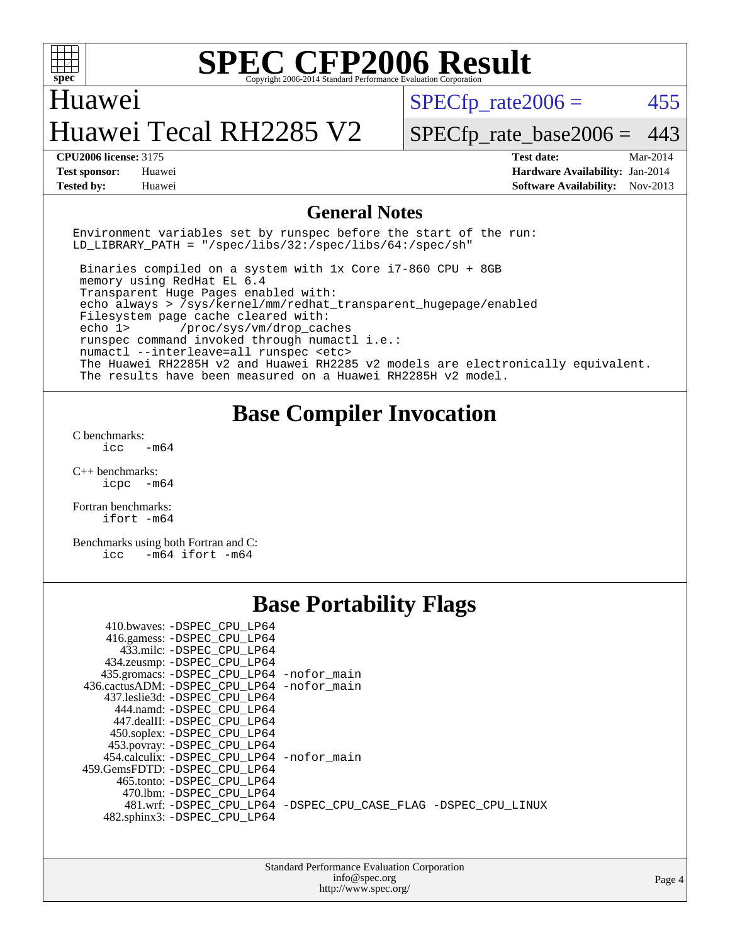

#### Huawei

## Huawei Tecal RH2285 V2

 $SPECTp\_rate2006 = 455$ 

[SPECfp\\_rate\\_base2006 =](http://www.spec.org/auto/cpu2006/Docs/result-fields.html#SPECfpratebase2006) 443

**[CPU2006 license:](http://www.spec.org/auto/cpu2006/Docs/result-fields.html#CPU2006license)** 3175 **[Test date:](http://www.spec.org/auto/cpu2006/Docs/result-fields.html#Testdate)** Mar-2014 **[Test sponsor:](http://www.spec.org/auto/cpu2006/Docs/result-fields.html#Testsponsor)** Huawei **[Hardware Availability:](http://www.spec.org/auto/cpu2006/Docs/result-fields.html#HardwareAvailability)** Jan-2014 **[Tested by:](http://www.spec.org/auto/cpu2006/Docs/result-fields.html#Testedby)** Huawei **[Software Availability:](http://www.spec.org/auto/cpu2006/Docs/result-fields.html#SoftwareAvailability)** Nov-2013

#### **[General Notes](http://www.spec.org/auto/cpu2006/Docs/result-fields.html#GeneralNotes)**

Environment variables set by runspec before the start of the run: LD LIBRARY PATH = "/spec/libs/32:/spec/libs/64:/spec/sh"

 Binaries compiled on a system with 1x Core i7-860 CPU + 8GB memory using RedHat EL 6.4 Transparent Huge Pages enabled with: echo always > /sys/kernel/mm/redhat\_transparent\_hugepage/enabled Filesystem page cache cleared with: echo 1> /proc/sys/vm/drop\_caches runspec command invoked through numactl i.e.: numactl --interleave=all runspec <etc> The Huawei RH2285H v2 and Huawei RH2285 v2 models are electronically equivalent. The results have been measured on a Huawei RH2285H v2 model.

#### **[Base Compiler Invocation](http://www.spec.org/auto/cpu2006/Docs/result-fields.html#BaseCompilerInvocation)**

[C benchmarks](http://www.spec.org/auto/cpu2006/Docs/result-fields.html#Cbenchmarks):  $icc$   $-m64$ 

[C++ benchmarks:](http://www.spec.org/auto/cpu2006/Docs/result-fields.html#CXXbenchmarks) [icpc -m64](http://www.spec.org/cpu2006/results/res2014q3/cpu2006-20140719-30520.flags.html#user_CXXbase_intel_icpc_64bit_bedb90c1146cab66620883ef4f41a67e)

[Fortran benchmarks](http://www.spec.org/auto/cpu2006/Docs/result-fields.html#Fortranbenchmarks): [ifort -m64](http://www.spec.org/cpu2006/results/res2014q3/cpu2006-20140719-30520.flags.html#user_FCbase_intel_ifort_64bit_ee9d0fb25645d0210d97eb0527dcc06e)

[Benchmarks using both Fortran and C](http://www.spec.org/auto/cpu2006/Docs/result-fields.html#BenchmarksusingbothFortranandC): [icc -m64](http://www.spec.org/cpu2006/results/res2014q3/cpu2006-20140719-30520.flags.html#user_CC_FCbase_intel_icc_64bit_0b7121f5ab7cfabee23d88897260401c) [ifort -m64](http://www.spec.org/cpu2006/results/res2014q3/cpu2006-20140719-30520.flags.html#user_CC_FCbase_intel_ifort_64bit_ee9d0fb25645d0210d97eb0527dcc06e)

### **[Base Portability Flags](http://www.spec.org/auto/cpu2006/Docs/result-fields.html#BasePortabilityFlags)**

| 435.gromacs: -DSPEC_CPU_LP64 -nofor_main                       |
|----------------------------------------------------------------|
| 436.cactusADM: -DSPEC CPU LP64 -nofor main                     |
|                                                                |
|                                                                |
|                                                                |
|                                                                |
|                                                                |
| 454.calculix: -DSPEC CPU LP64 -nofor main                      |
|                                                                |
|                                                                |
|                                                                |
| 481.wrf: -DSPEC CPU_LP64 -DSPEC_CPU_CASE_FLAG -DSPEC_CPU_LINUX |
|                                                                |
|                                                                |

Standard Performance Evaluation Corporation [info@spec.org](mailto:info@spec.org) <http://www.spec.org/>

Page 4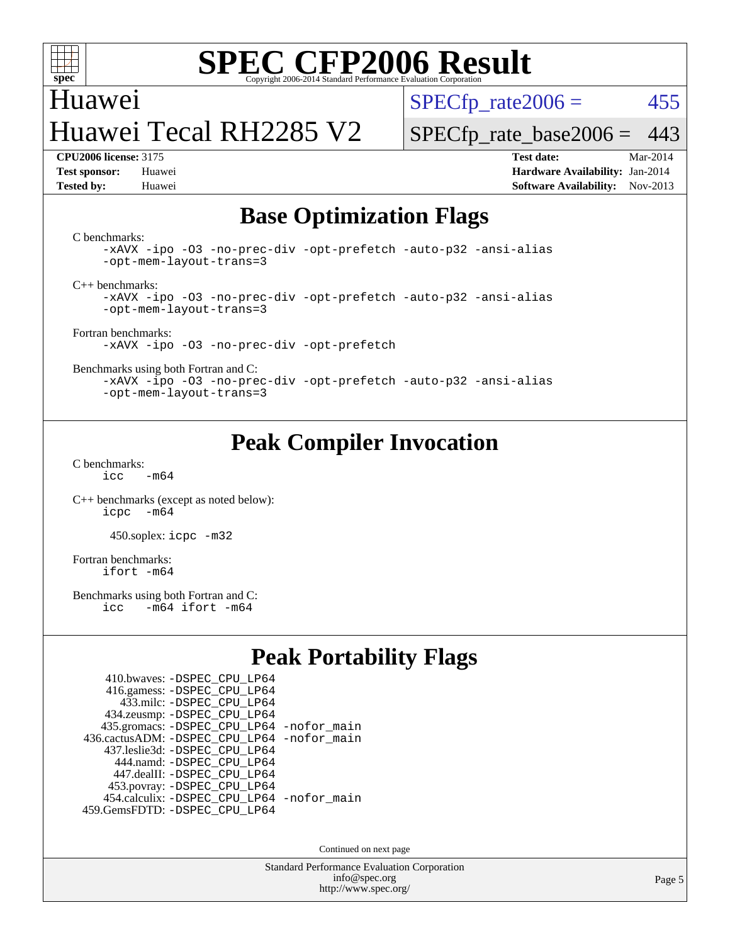

### Huawei Huawei Tecal RH2285 V2

 $SPECTp\_rate2006 = 455$ 

[SPECfp\\_rate\\_base2006 =](http://www.spec.org/auto/cpu2006/Docs/result-fields.html#SPECfpratebase2006) 443

**[CPU2006 license:](http://www.spec.org/auto/cpu2006/Docs/result-fields.html#CPU2006license)** 3175 **[Test date:](http://www.spec.org/auto/cpu2006/Docs/result-fields.html#Testdate)** Mar-2014 **[Test sponsor:](http://www.spec.org/auto/cpu2006/Docs/result-fields.html#Testsponsor)** Huawei **[Hardware Availability:](http://www.spec.org/auto/cpu2006/Docs/result-fields.html#HardwareAvailability)** Jan-2014 **[Tested by:](http://www.spec.org/auto/cpu2006/Docs/result-fields.html#Testedby)** Huawei **[Software Availability:](http://www.spec.org/auto/cpu2006/Docs/result-fields.html#SoftwareAvailability)** Nov-2013

#### **[Base Optimization Flags](http://www.spec.org/auto/cpu2006/Docs/result-fields.html#BaseOptimizationFlags)**

[C benchmarks](http://www.spec.org/auto/cpu2006/Docs/result-fields.html#Cbenchmarks):

[-xAVX](http://www.spec.org/cpu2006/results/res2014q3/cpu2006-20140719-30520.flags.html#user_CCbase_f-xAVX) [-ipo](http://www.spec.org/cpu2006/results/res2014q3/cpu2006-20140719-30520.flags.html#user_CCbase_f-ipo) [-O3](http://www.spec.org/cpu2006/results/res2014q3/cpu2006-20140719-30520.flags.html#user_CCbase_f-O3) [-no-prec-div](http://www.spec.org/cpu2006/results/res2014q3/cpu2006-20140719-30520.flags.html#user_CCbase_f-no-prec-div) [-opt-prefetch](http://www.spec.org/cpu2006/results/res2014q3/cpu2006-20140719-30520.flags.html#user_CCbase_f-opt-prefetch) [-auto-p32](http://www.spec.org/cpu2006/results/res2014q3/cpu2006-20140719-30520.flags.html#user_CCbase_f-auto-p32) [-ansi-alias](http://www.spec.org/cpu2006/results/res2014q3/cpu2006-20140719-30520.flags.html#user_CCbase_f-ansi-alias) [-opt-mem-layout-trans=3](http://www.spec.org/cpu2006/results/res2014q3/cpu2006-20140719-30520.flags.html#user_CCbase_f-opt-mem-layout-trans_a7b82ad4bd7abf52556d4961a2ae94d5)

[C++ benchmarks:](http://www.spec.org/auto/cpu2006/Docs/result-fields.html#CXXbenchmarks)

[-xAVX](http://www.spec.org/cpu2006/results/res2014q3/cpu2006-20140719-30520.flags.html#user_CXXbase_f-xAVX) [-ipo](http://www.spec.org/cpu2006/results/res2014q3/cpu2006-20140719-30520.flags.html#user_CXXbase_f-ipo) [-O3](http://www.spec.org/cpu2006/results/res2014q3/cpu2006-20140719-30520.flags.html#user_CXXbase_f-O3) [-no-prec-div](http://www.spec.org/cpu2006/results/res2014q3/cpu2006-20140719-30520.flags.html#user_CXXbase_f-no-prec-div) [-opt-prefetch](http://www.spec.org/cpu2006/results/res2014q3/cpu2006-20140719-30520.flags.html#user_CXXbase_f-opt-prefetch) [-auto-p32](http://www.spec.org/cpu2006/results/res2014q3/cpu2006-20140719-30520.flags.html#user_CXXbase_f-auto-p32) [-ansi-alias](http://www.spec.org/cpu2006/results/res2014q3/cpu2006-20140719-30520.flags.html#user_CXXbase_f-ansi-alias) [-opt-mem-layout-trans=3](http://www.spec.org/cpu2006/results/res2014q3/cpu2006-20140719-30520.flags.html#user_CXXbase_f-opt-mem-layout-trans_a7b82ad4bd7abf52556d4961a2ae94d5)

[Fortran benchmarks](http://www.spec.org/auto/cpu2006/Docs/result-fields.html#Fortranbenchmarks): [-xAVX](http://www.spec.org/cpu2006/results/res2014q3/cpu2006-20140719-30520.flags.html#user_FCbase_f-xAVX) [-ipo](http://www.spec.org/cpu2006/results/res2014q3/cpu2006-20140719-30520.flags.html#user_FCbase_f-ipo) [-O3](http://www.spec.org/cpu2006/results/res2014q3/cpu2006-20140719-30520.flags.html#user_FCbase_f-O3) [-no-prec-div](http://www.spec.org/cpu2006/results/res2014q3/cpu2006-20140719-30520.flags.html#user_FCbase_f-no-prec-div) [-opt-prefetch](http://www.spec.org/cpu2006/results/res2014q3/cpu2006-20140719-30520.flags.html#user_FCbase_f-opt-prefetch)

[Benchmarks using both Fortran and C](http://www.spec.org/auto/cpu2006/Docs/result-fields.html#BenchmarksusingbothFortranandC):

[-xAVX](http://www.spec.org/cpu2006/results/res2014q3/cpu2006-20140719-30520.flags.html#user_CC_FCbase_f-xAVX) [-ipo](http://www.spec.org/cpu2006/results/res2014q3/cpu2006-20140719-30520.flags.html#user_CC_FCbase_f-ipo) [-O3](http://www.spec.org/cpu2006/results/res2014q3/cpu2006-20140719-30520.flags.html#user_CC_FCbase_f-O3) [-no-prec-div](http://www.spec.org/cpu2006/results/res2014q3/cpu2006-20140719-30520.flags.html#user_CC_FCbase_f-no-prec-div) [-opt-prefetch](http://www.spec.org/cpu2006/results/res2014q3/cpu2006-20140719-30520.flags.html#user_CC_FCbase_f-opt-prefetch) [-auto-p32](http://www.spec.org/cpu2006/results/res2014q3/cpu2006-20140719-30520.flags.html#user_CC_FCbase_f-auto-p32) [-ansi-alias](http://www.spec.org/cpu2006/results/res2014q3/cpu2006-20140719-30520.flags.html#user_CC_FCbase_f-ansi-alias) [-opt-mem-layout-trans=3](http://www.spec.org/cpu2006/results/res2014q3/cpu2006-20140719-30520.flags.html#user_CC_FCbase_f-opt-mem-layout-trans_a7b82ad4bd7abf52556d4961a2ae94d5)

### **[Peak Compiler Invocation](http://www.spec.org/auto/cpu2006/Docs/result-fields.html#PeakCompilerInvocation)**

[C benchmarks](http://www.spec.org/auto/cpu2006/Docs/result-fields.html#Cbenchmarks):  $icc$   $-m64$ 

[C++ benchmarks \(except as noted below\):](http://www.spec.org/auto/cpu2006/Docs/result-fields.html#CXXbenchmarksexceptasnotedbelow) [icpc -m64](http://www.spec.org/cpu2006/results/res2014q3/cpu2006-20140719-30520.flags.html#user_CXXpeak_intel_icpc_64bit_bedb90c1146cab66620883ef4f41a67e)

450.soplex: [icpc -m32](http://www.spec.org/cpu2006/results/res2014q3/cpu2006-20140719-30520.flags.html#user_peakCXXLD450_soplex_intel_icpc_4e5a5ef1a53fd332b3c49e69c3330699)

[Fortran benchmarks](http://www.spec.org/auto/cpu2006/Docs/result-fields.html#Fortranbenchmarks): [ifort -m64](http://www.spec.org/cpu2006/results/res2014q3/cpu2006-20140719-30520.flags.html#user_FCpeak_intel_ifort_64bit_ee9d0fb25645d0210d97eb0527dcc06e)

[Benchmarks using both Fortran and C](http://www.spec.org/auto/cpu2006/Docs/result-fields.html#BenchmarksusingbothFortranandC):<br>icc -m64 ifort -m64  $-m64$  ifort  $-m64$ 

#### **[Peak Portability Flags](http://www.spec.org/auto/cpu2006/Docs/result-fields.html#PeakPortabilityFlags)**

| 410.bwaves: - DSPEC CPU LP64                |  |
|---------------------------------------------|--|
| 416.gamess: -DSPEC_CPU_LP64                 |  |
| 433.milc: - DSPEC_CPU LP64                  |  |
| 434.zeusmp: -DSPEC_CPU_LP64                 |  |
| 435.gromacs: -DSPEC_CPU_LP64 -nofor_main    |  |
| 436.cactusADM: -DSPEC CPU LP64 -nofor main  |  |
| 437.leslie3d: -DSPEC CPU LP64               |  |
| 444.namd: - DSPEC CPU LP64                  |  |
| 447.dealII: -DSPEC CPU LP64                 |  |
| 453.povray: -DSPEC_CPU_LP64                 |  |
| 454.calculix: - DSPEC CPU LP64 - nofor main |  |
| 459.GemsFDTD: - DSPEC_CPU_LP64              |  |

Continued on next page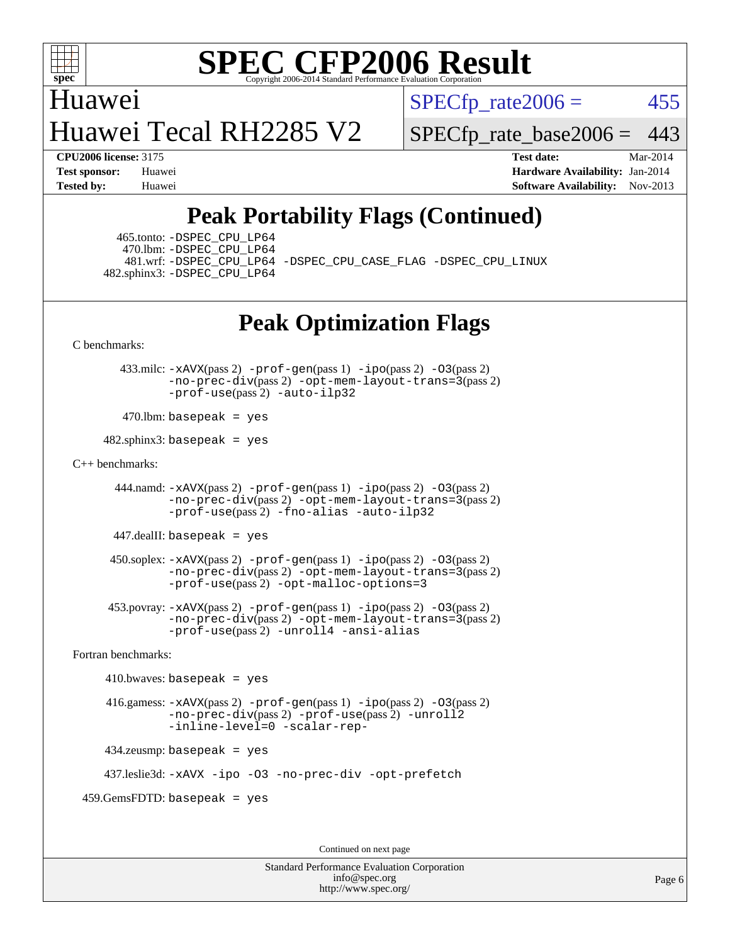

Huawei Huawei Tecal RH2285 V2  $SPECTp\_rate2006 = 455$ 

**[CPU2006 license:](http://www.spec.org/auto/cpu2006/Docs/result-fields.html#CPU2006license)** 3175 **[Test date:](http://www.spec.org/auto/cpu2006/Docs/result-fields.html#Testdate)** Mar-2014

[SPECfp\\_rate\\_base2006 =](http://www.spec.org/auto/cpu2006/Docs/result-fields.html#SPECfpratebase2006) 443

**[Test sponsor:](http://www.spec.org/auto/cpu2006/Docs/result-fields.html#Testsponsor)** Huawei **[Hardware Availability:](http://www.spec.org/auto/cpu2006/Docs/result-fields.html#HardwareAvailability)** Jan-2014 **[Tested by:](http://www.spec.org/auto/cpu2006/Docs/result-fields.html#Testedby)** Huawei **[Software Availability:](http://www.spec.org/auto/cpu2006/Docs/result-fields.html#SoftwareAvailability)** Nov-2013

## **[Peak Portability Flags \(Continued\)](http://www.spec.org/auto/cpu2006/Docs/result-fields.html#PeakPortabilityFlags)**

 465.tonto: [-DSPEC\\_CPU\\_LP64](http://www.spec.org/cpu2006/results/res2014q3/cpu2006-20140719-30520.flags.html#suite_peakPORTABILITY465_tonto_DSPEC_CPU_LP64) 470.lbm: [-DSPEC\\_CPU\\_LP64](http://www.spec.org/cpu2006/results/res2014q3/cpu2006-20140719-30520.flags.html#suite_peakPORTABILITY470_lbm_DSPEC_CPU_LP64) 482.sphinx3: [-DSPEC\\_CPU\\_LP64](http://www.spec.org/cpu2006/results/res2014q3/cpu2006-20140719-30520.flags.html#suite_peakPORTABILITY482_sphinx3_DSPEC_CPU_LP64)

481.wrf: [-DSPEC\\_CPU\\_LP64](http://www.spec.org/cpu2006/results/res2014q3/cpu2006-20140719-30520.flags.html#suite_peakPORTABILITY481_wrf_DSPEC_CPU_LP64) [-DSPEC\\_CPU\\_CASE\\_FLAG](http://www.spec.org/cpu2006/results/res2014q3/cpu2006-20140719-30520.flags.html#b481.wrf_peakCPORTABILITY_DSPEC_CPU_CASE_FLAG) [-DSPEC\\_CPU\\_LINUX](http://www.spec.org/cpu2006/results/res2014q3/cpu2006-20140719-30520.flags.html#b481.wrf_peakCPORTABILITY_DSPEC_CPU_LINUX)

## **[Peak Optimization Flags](http://www.spec.org/auto/cpu2006/Docs/result-fields.html#PeakOptimizationFlags)**

[C benchmarks](http://www.spec.org/auto/cpu2006/Docs/result-fields.html#Cbenchmarks):

 433.milc: [-xAVX](http://www.spec.org/cpu2006/results/res2014q3/cpu2006-20140719-30520.flags.html#user_peakPASS2_CFLAGSPASS2_LDFLAGS433_milc_f-xAVX)(pass 2) [-prof-gen](http://www.spec.org/cpu2006/results/res2014q3/cpu2006-20140719-30520.flags.html#user_peakPASS1_CFLAGSPASS1_LDFLAGS433_milc_prof_gen_e43856698f6ca7b7e442dfd80e94a8fc)(pass 1) [-ipo](http://www.spec.org/cpu2006/results/res2014q3/cpu2006-20140719-30520.flags.html#user_peakPASS2_CFLAGSPASS2_LDFLAGS433_milc_f-ipo)(pass 2) [-O3](http://www.spec.org/cpu2006/results/res2014q3/cpu2006-20140719-30520.flags.html#user_peakPASS2_CFLAGSPASS2_LDFLAGS433_milc_f-O3)(pass 2) [-no-prec-div](http://www.spec.org/cpu2006/results/res2014q3/cpu2006-20140719-30520.flags.html#user_peakPASS2_CFLAGSPASS2_LDFLAGS433_milc_f-no-prec-div)(pass 2) [-opt-mem-layout-trans=3](http://www.spec.org/cpu2006/results/res2014q3/cpu2006-20140719-30520.flags.html#user_peakPASS2_CFLAGS433_milc_f-opt-mem-layout-trans_a7b82ad4bd7abf52556d4961a2ae94d5)(pass 2) [-prof-use](http://www.spec.org/cpu2006/results/res2014q3/cpu2006-20140719-30520.flags.html#user_peakPASS2_CFLAGSPASS2_LDFLAGS433_milc_prof_use_bccf7792157ff70d64e32fe3e1250b55)(pass 2) [-auto-ilp32](http://www.spec.org/cpu2006/results/res2014q3/cpu2006-20140719-30520.flags.html#user_peakCOPTIMIZE433_milc_f-auto-ilp32)

 $470$ .lbm: basepeak = yes

 $482$ .sphinx3: basepeak = yes

#### [C++ benchmarks:](http://www.spec.org/auto/cpu2006/Docs/result-fields.html#CXXbenchmarks)

444.namd:  $-x$ AVX(pass 2)  $-p$ rof-gen(pass 1)  $-p$ po(pass 2)  $-03$ (pass 2) [-no-prec-div](http://www.spec.org/cpu2006/results/res2014q3/cpu2006-20140719-30520.flags.html#user_peakPASS2_CXXFLAGSPASS2_LDFLAGS444_namd_f-no-prec-div)(pass 2) [-opt-mem-layout-trans=3](http://www.spec.org/cpu2006/results/res2014q3/cpu2006-20140719-30520.flags.html#user_peakPASS2_CXXFLAGS444_namd_f-opt-mem-layout-trans_a7b82ad4bd7abf52556d4961a2ae94d5)(pass 2) [-prof-use](http://www.spec.org/cpu2006/results/res2014q3/cpu2006-20140719-30520.flags.html#user_peakPASS2_CXXFLAGSPASS2_LDFLAGS444_namd_prof_use_bccf7792157ff70d64e32fe3e1250b55)(pass 2) [-fno-alias](http://www.spec.org/cpu2006/results/res2014q3/cpu2006-20140719-30520.flags.html#user_peakCXXOPTIMIZE444_namd_f-no-alias_694e77f6c5a51e658e82ccff53a9e63a) [-auto-ilp32](http://www.spec.org/cpu2006/results/res2014q3/cpu2006-20140719-30520.flags.html#user_peakCXXOPTIMIZE444_namd_f-auto-ilp32)

447.dealII: basepeak = yes

 $450$ .soplex:  $-x$ AVX(pass 2)  $-p$ rof-gen(pass 1)  $-i$ po(pass 2)  $-03$ (pass 2) [-no-prec-div](http://www.spec.org/cpu2006/results/res2014q3/cpu2006-20140719-30520.flags.html#user_peakPASS2_CXXFLAGSPASS2_LDFLAGS450_soplex_f-no-prec-div)(pass 2) [-opt-mem-layout-trans=3](http://www.spec.org/cpu2006/results/res2014q3/cpu2006-20140719-30520.flags.html#user_peakPASS2_CXXFLAGS450_soplex_f-opt-mem-layout-trans_a7b82ad4bd7abf52556d4961a2ae94d5)(pass 2) [-prof-use](http://www.spec.org/cpu2006/results/res2014q3/cpu2006-20140719-30520.flags.html#user_peakPASS2_CXXFLAGSPASS2_LDFLAGS450_soplex_prof_use_bccf7792157ff70d64e32fe3e1250b55)(pass 2) [-opt-malloc-options=3](http://www.spec.org/cpu2006/results/res2014q3/cpu2006-20140719-30520.flags.html#user_peakOPTIMIZE450_soplex_f-opt-malloc-options_13ab9b803cf986b4ee62f0a5998c2238)

 453.povray: [-xAVX](http://www.spec.org/cpu2006/results/res2014q3/cpu2006-20140719-30520.flags.html#user_peakPASS2_CXXFLAGSPASS2_LDFLAGS453_povray_f-xAVX)(pass 2) [-prof-gen](http://www.spec.org/cpu2006/results/res2014q3/cpu2006-20140719-30520.flags.html#user_peakPASS1_CXXFLAGSPASS1_LDFLAGS453_povray_prof_gen_e43856698f6ca7b7e442dfd80e94a8fc)(pass 1) [-ipo](http://www.spec.org/cpu2006/results/res2014q3/cpu2006-20140719-30520.flags.html#user_peakPASS2_CXXFLAGSPASS2_LDFLAGS453_povray_f-ipo)(pass 2) [-O3](http://www.spec.org/cpu2006/results/res2014q3/cpu2006-20140719-30520.flags.html#user_peakPASS2_CXXFLAGSPASS2_LDFLAGS453_povray_f-O3)(pass 2) [-no-prec-div](http://www.spec.org/cpu2006/results/res2014q3/cpu2006-20140719-30520.flags.html#user_peakPASS2_CXXFLAGSPASS2_LDFLAGS453_povray_f-no-prec-div)(pass 2) [-opt-mem-layout-trans=3](http://www.spec.org/cpu2006/results/res2014q3/cpu2006-20140719-30520.flags.html#user_peakPASS2_CXXFLAGS453_povray_f-opt-mem-layout-trans_a7b82ad4bd7abf52556d4961a2ae94d5)(pass 2) [-prof-use](http://www.spec.org/cpu2006/results/res2014q3/cpu2006-20140719-30520.flags.html#user_peakPASS2_CXXFLAGSPASS2_LDFLAGS453_povray_prof_use_bccf7792157ff70d64e32fe3e1250b55)(pass 2) [-unroll4](http://www.spec.org/cpu2006/results/res2014q3/cpu2006-20140719-30520.flags.html#user_peakCXXOPTIMIZE453_povray_f-unroll_4e5e4ed65b7fd20bdcd365bec371b81f) [-ansi-alias](http://www.spec.org/cpu2006/results/res2014q3/cpu2006-20140719-30520.flags.html#user_peakCXXOPTIMIZE453_povray_f-ansi-alias)

[Fortran benchmarks](http://www.spec.org/auto/cpu2006/Docs/result-fields.html#Fortranbenchmarks):

 $410.bwaves: basepeak = yes$  416.gamess: [-xAVX](http://www.spec.org/cpu2006/results/res2014q3/cpu2006-20140719-30520.flags.html#user_peakPASS2_FFLAGSPASS2_LDFLAGS416_gamess_f-xAVX)(pass 2) [-prof-gen](http://www.spec.org/cpu2006/results/res2014q3/cpu2006-20140719-30520.flags.html#user_peakPASS1_FFLAGSPASS1_LDFLAGS416_gamess_prof_gen_e43856698f6ca7b7e442dfd80e94a8fc)(pass 1) [-ipo](http://www.spec.org/cpu2006/results/res2014q3/cpu2006-20140719-30520.flags.html#user_peakPASS2_FFLAGSPASS2_LDFLAGS416_gamess_f-ipo)(pass 2) [-O3](http://www.spec.org/cpu2006/results/res2014q3/cpu2006-20140719-30520.flags.html#user_peakPASS2_FFLAGSPASS2_LDFLAGS416_gamess_f-O3)(pass 2) [-no-prec-div](http://www.spec.org/cpu2006/results/res2014q3/cpu2006-20140719-30520.flags.html#user_peakPASS2_FFLAGSPASS2_LDFLAGS416_gamess_f-no-prec-div)(pass 2) [-prof-use](http://www.spec.org/cpu2006/results/res2014q3/cpu2006-20140719-30520.flags.html#user_peakPASS2_FFLAGSPASS2_LDFLAGS416_gamess_prof_use_bccf7792157ff70d64e32fe3e1250b55)(pass 2) [-unroll2](http://www.spec.org/cpu2006/results/res2014q3/cpu2006-20140719-30520.flags.html#user_peakOPTIMIZE416_gamess_f-unroll_784dae83bebfb236979b41d2422d7ec2) [-inline-level=0](http://www.spec.org/cpu2006/results/res2014q3/cpu2006-20140719-30520.flags.html#user_peakOPTIMIZE416_gamess_f-inline-level_318d07a09274ad25e8d15dbfaa68ba50) [-scalar-rep-](http://www.spec.org/cpu2006/results/res2014q3/cpu2006-20140719-30520.flags.html#user_peakOPTIMIZE416_gamess_f-disablescalarrep_abbcad04450fb118e4809c81d83c8a1d) 434.zeusmp: basepeak = yes

437.leslie3d: [-xAVX](http://www.spec.org/cpu2006/results/res2014q3/cpu2006-20140719-30520.flags.html#user_peakOPTIMIZE437_leslie3d_f-xAVX) [-ipo](http://www.spec.org/cpu2006/results/res2014q3/cpu2006-20140719-30520.flags.html#user_peakOPTIMIZE437_leslie3d_f-ipo) [-O3](http://www.spec.org/cpu2006/results/res2014q3/cpu2006-20140719-30520.flags.html#user_peakOPTIMIZE437_leslie3d_f-O3) [-no-prec-div](http://www.spec.org/cpu2006/results/res2014q3/cpu2006-20140719-30520.flags.html#user_peakOPTIMIZE437_leslie3d_f-no-prec-div) [-opt-prefetch](http://www.spec.org/cpu2006/results/res2014q3/cpu2006-20140719-30520.flags.html#user_peakOPTIMIZE437_leslie3d_f-opt-prefetch)

459.GemsFDTD: basepeak = yes

Continued on next page